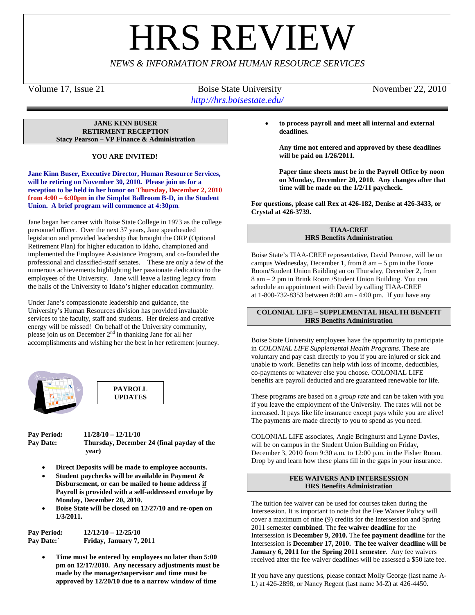# **HRS REVIE**

# *NEWS & INFORMATION FROM HUMAN RESOURCE SERVICES*

Volume 17, Issue 21 Boise State University November 22, 2010 *http://hrs.boisestate.edu/*

**JANE KINN BUSER RETIRMENT RECEPTION Stacy Pearson – VP Finance & Administration**

**YOU ARE INVITED!**

**Jane Kinn Buser, Executive Director, Human Resource Services, will be retiring on November 30, 2010. Please join us for a reception to be held in her honor on Thursday, December 2, 2010 from 4:00 – 6:00pm in the Simplot Ballroom B-D, in the Student Union. A brief program will commence at 4:30pm**.

Jane began her career with Boise State College in 1973 as the college personnel officer. Over the next 37 years, Jane spearheaded legislation and provided leadership that brought the ORP (Optional Retirement Plan) for higher education to Idaho, championed and implemented the Employee Assistance Program, and co-founded the professional and classified-staff senates. These are only a few of the numerous achievements highlighting her passionate dedication to the employees of the University. Jane will leave a lasting legacy from the halls of the University to Idaho's higher education community.

Under Jane's compassionate leadership and guidance, the University's Human Resources division has provided invaluable services to the faculty, staff and students. Her tireless and creative energy will be missed! On behalf of the University community, please join us on December  $2<sup>nd</sup>$  in thanking Jane for all her accomplishments and wishing her the best in her retirement journey.





**Pay Period: 11/28/10 – 12/11/10 Pay Date: Thursday, December 24 (final payday of the year)**

- **Direct Deposits will be made to employee accounts.**
- **Student paychecks will be available in Payment & Disbursement, or can be mailed to home address if Payroll is provided with a self-addressed envelope by Monday, December 20, 2010.**
- **Boise State will be closed on 12/27/10 and re-open on 1/3/2011.**

**Pay Period: 12/12/10 – 12/25/10 Pay Date:` Friday, January 7, 2011**

> • **Time must be entered by employees no later than 5:00 pm on 12/17/2010. Any necessary adjustments must be made by the manager/supervisor and time must be approved by 12/20/10 due to a narrow window of time**

• **to process payroll and meet all internal and external deadlines.** 

**Any time not entered and approved by these deadlines will be paid on 1/26/2011.** 

**Paper time sheets must be in the Payroll Office by noon on Monday, December 20, 2010. Any changes after that time will be made on the 1/2/11 paycheck.**

**For questions, please call Rex at 426-182, Denise at 426-3433, or Crystal at 426-3739.**

#### **TIAA-CREF HRS Benefits Administration**

Boise State's TIAA-CREF representative, David Penrose, will be on campus Wednesday, December 1, from 8 am – 5 pm in the Foote Room/Student Union Building an on Thursday, December 2, from 8 am – 2 pm in Brink Room /Student Union Building. You can schedule an appointment with David by calling TIAA-CREF at 1-800-732-8353 between 8:00 am - 4:00 pm. If you have any

# **COLONIAL LIFE – SUPPLEMENTAL HEALTH BENEFIT HRS Benefits Administration**

Boise State University employees have the opportunity to participate in *COLONIAL LIFE Supplemental Health Programs*. These are voluntary and pay cash directly to you if you are injured or sick and unable to work. Benefits can help with loss of income, deductibles, co-payments or whatever else you choose. COLONIAL LIFE benefits are payroll deducted and are guaranteed renewable for life.

These programs are based on a *group rate* and can be taken with you if you leave the employment of the University. The rates will not be increased. It pays like life insurance except pays while you are alive! The payments are made directly to you to spend as you need.

COLONIAL LIFE associates, Angie Bringhurst and Lynne Davies, will be on campus in the Student Union Building on Friday, December 3, 2010 from 9:30 a.m. to 12:00 p.m. in the Fisher Room. Drop by and learn how these plans fill in the gaps in your insurance.

# **FEE WAIVERS AND INTERSESSION HRS Benefits Administration**

The tuition fee waiver can be used for courses taken during the Intersession. It is important to note that the Fee Waiver Policy will cover a maximum of nine (9) credits for the Intersession and Spring 2011 semester **combined**. The **fee waiver deadline** for the Intersession is **December 9, 2010.** The **fee payment deadline** for the Intersession is **December 17, 2010. The fee waiver deadline will be January 6, 2011 for the Spring 2011 semester**. Any fee waivers received after the fee waiver deadlines will be assessed a \$50 late fee.

If you have any questions, please contact Molly George (last name A-L) at 426-2898, or Nancy Regent (last name M-Z) at 426-4450.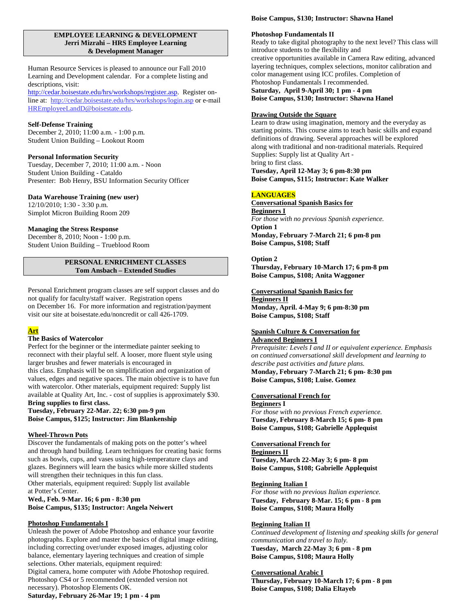#### **EMPLOYEE LEARNING & DEVELOPMENT Jerri Mizrahi – HRS Employee Learning & Development Manager**

Human Resource Services is pleased to announce our Fall 2010 Learning and Development calendar. For a complete listing and descriptions, visit:

[http://cedar.boisestate.edu/hrs/workshops/register.asp.](http://cedar.boisestate.edu/hrs/workshops/register.asp) Register online at:<http://cedar.boisestate.edu/hrs/workshops/login.asp> or e-mail [HREmployeeLandD@boisestate.edu.](mailto:HREmployeeLandD@boisestate.edu)

#### **Self-Defense Training**

December 2, 2010; 11:00 a.m. - 1:00 p.m. Student Union Building – Lookout Room

#### **Personal Information Security**

Tuesday, December 7, 2010; 11:00 a.m. - Noon Student Union Building - Cataldo Presenter: Bob Henry, BSU Information Security Officer

#### **Data Warehouse Training (new user)**

12/10/2010; 1:30 - 3:30 p.m. Simplot Micron Building Room 209

#### **Managing the Stress Response**

December 8, 2010; Noon - 1:00 p.m. Student Union Building – Trueblood Room

#### **PERSONAL ENRICHMENT CLASSES Tom Ansbach – Extended Studies**

Personal Enrichment program classes are self support classes and do not qualify for faculty/staff waiver. Registration opens on December 16. For more information and registration/payment visit our site at boisestate.edu/noncredit or call 426-1709.

# **Art**

# **The Basics of Watercolor**

Perfect for the beginner or the intermediate painter seeking to reconnect with their playful self. A looser, more fluent style using larger brushes and fewer materials is encouraged in this class. Emphasis will be on simplification and organization of values, edges and negative spaces. The main objective is to have fun with watercolor. Other materials, equipment required: Supply list available at Quality Art, Inc. - cost of supplies is approximately \$30. **Bring supplies to first class.**

# **Tuesday, February 22-Mar. 22; 6:30 pm-9 pm Boise Campus, \$125; Instructor: Jim Blankenship**

#### **Wheel-Thrown Pots**

Discover the fundamentals of making pots on the potter's wheel and through hand building. Learn techniques for creating basic forms such as bowls, cups, and vases using high-temperature clays and glazes. Beginners will learn the basics while more skilled students will strengthen their techniques in this fun class. Other materials, equipment required: Supply list available at Potter's Center.

**Wed., Feb. 9-Mar. 16; 6 pm - 8:30 pm Boise Campus, \$135; Instructor: Angela Neiwert**

#### **Photoshop Fundamentals I**

Unleash the power of Adobe Photoshop and enhance your favorite photographs. Explore and master the basics of digital image editing, including correcting over/under exposed images, adjusting color balance, elementary layering techniques and creation of simple selections. Other materials, equipment required: Digital camera, home computer with Adobe Photoshop required. Photoshop CS4 or 5 recommended (extended version not necessary). Photoshop Elements OK.

**Saturday, February 26-Mar 19; 1 pm - 4 pm**

# **Boise Campus, \$130; Instructor: Shawna Hanel**

# **Photoshop Fundamentals II**

Ready to take digital photography to the next level? This class will introduce students to the flexibility and creative opportunities available in Camera Raw editing, advanced layering techniques, complex selections, monitor calibration and color management using ICC profiles. Completion of Photoshop Fundamentals I recommended. **Saturday, April 9-April 30; 1 pm - 4 pm Boise Campus, \$130; Instructor: Shawna Hanel**

#### **Drawing Outside the Square**

Learn to draw using imagination, memory and the everyday as starting points. This course aims to teach basic skills and expand definitions of drawing. Several approaches will be explored along with traditional and non-traditional materials. Required Supplies: Supply list at Quality Art bring to first class.

**Tuesday, April 12-May 3; 6 pm-8:30 pm Boise Campus, \$115; Instructor: Kate Walker**

# **LANGUAGES**

**Conversational Spanish Basics for** *For those with no previous Spanish experience.* **Beginners I Option 1 Monday, February 7-March 21; 6 pm-8 pm Boise Campus, \$108; Staff**

#### **Option 2**

**Thursday, February 10-March 17; 6 pm-8 pm Boise Campus, \$108; Anita Waggoner**

#### **Conversational Spanish Basics for**

**Monday, April. 4-May 9; 6 pm-8:30 pm Beginners II Boise Campus, \$108; Staff**

#### **Spanish Culture & Conversation for Advanced Beginners I**

*Prerequisite: Levels I and II or equivalent experience. Emphasis on continued conversational skill development and learning to describe past activities and future plans.* **Monday, February 7-March 21; 6 pm- 8:30 pm Boise Campus, \$108; Luise. Gomez**

# **Conversational French for**

**Beginners I**

*For those with no previous French experience.* **Tuesday, February 8-March 15; 6 pm- 8 pm Boise Campus, \$108; Gabrielle Applequist**

#### **Conversational French for**

**Tuesday, March 22-May 3; 6 pm- 8 pm Beginners II Boise Campus, \$108; Gabrielle Applequist**

#### **Beginning Italian I**

*For those with no previous Italian experience.* **Tuesday, February 8-Mar. 15; 6 pm - 8 pm Boise Campus, \$108; Maura Holly**

#### **Beginning Italian II**

*Continued development of listening and speaking skills for general communication and travel to Italy.* **Tuesday, March 22-May 3; 6 pm - 8 pm Boise Campus, \$108; Maura Holly**

#### **Conversational Arabic I**

**Thursday, February 10-March 17; 6 pm - 8 pm Boise Campus, \$108; Dalia Eltayeb**